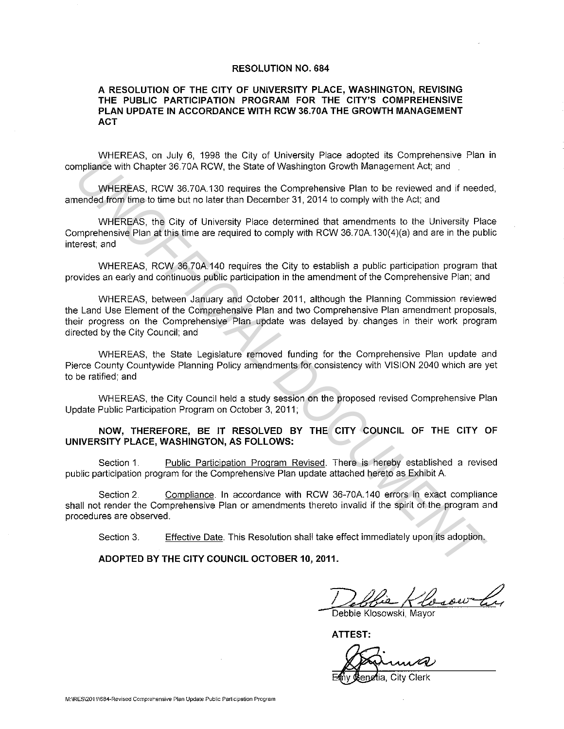#### **RESOLUTION NO. 684**

### **A RESOLUTION OF THE CITY OF UNIVERSITY PLACE, WASHINGTON, REVISING THE PUBLIC PARTICIPATION PROGRAM FOR THE CITY'S COMPREHENSIVE PLAN UPDATE IN ACCORDANCE WITH RCW 36.70A THE GROWTH MANAGEMENT ACT**

WHEREAS, on July 6, 1998 the City of University Place adopted its Comprehensive Plan in compliance with Chapter 36.?0A RCW. the State of Washington Growth Management Act; and

WHEREAS, RCW 36.70A.130 requires the Comprehensive Plan to be reviewed and if needed, amended from time to time but no later than December 31, 2014 to comply with the Act; and

WHEREAS, the City of University Place determined that amendments to the University Place Comprehensive Plan at this time are required to comply with RCW 36.?0A. 130(4)(a) and are in the public interest; and

WHEREAS, RCW 36.?0A 140 requires the City to establish a public participation program that provides an early and continuous public participation in the amendment of the Comprehensive Plan; and

WHEREAS, between January and October 2011, although the Planning Commission reviewed the Land Use Element of the Comprehensive Plan and two Comprehensive Plan amendment proposals, their progress on the Comprehensive Plan update was delayed by changes in their work program directed by the City Council; and **IMPlance with Chapter 36.70, Notice of the Comprehensive Plan to be reviewed and fined<br>increased from the test of CM, the State of Washington Growth Management Act, and<br>
1991 FREAS, RCW 36.70A 130 requires the Comprehensi** 

WHEREAS, the State Legislature removed funding for the Comprehensive Plan update and Pierce County Countywide Planning Policy amendments for consistency with VISION 2040 which are yet to be ratified; and

WHEREAS, the City Council held a study session on the proposed revised Comprehensive Plan Update Public Participation Program on October 3, 2011;

### **NOW, THEREFORE, BE IT RESOLVED BY THE CITY COUNCIL OF THE CITY OF UNIVERSITY PLACE, WASHINGTON, AS FOLLOWS:**

Section 1. Public Participation Program Revised. There is hereby established a revised public participation program for the Comprehensive Plan update attached hereto as Exhibit A

Section 2. Compliance. In accordance with RCW 36-70A.140 errors in exact compliance shall not render the Comprehensive Plan or amendments thereto invalid if the spirit of the program and procedures are observed.

Section 3. Effective Date. This Resolution shall take effect immediately upon its adoption.

**ADOPTED BY THE CITY COUNCIL OCTOBER 10, 2011.** 

Debbie Klosowski, Margaret La

**ATTEST:** 

**City Clerk**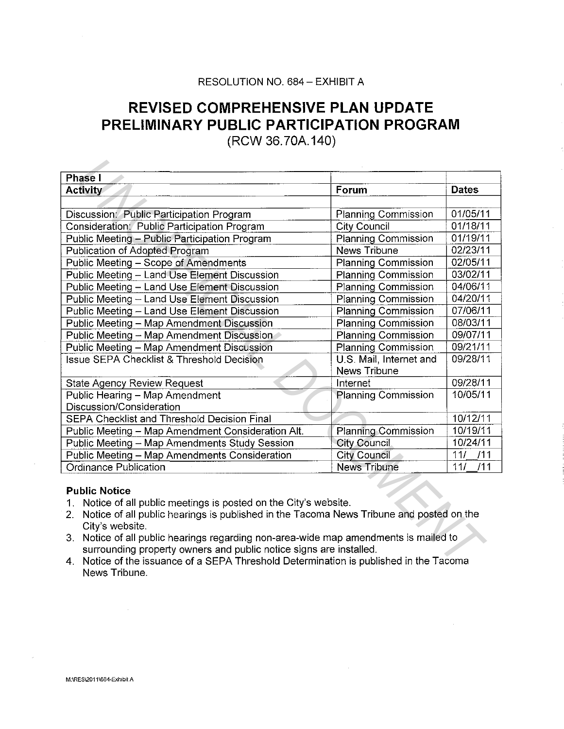## RESOLUTION NO. 684 - EXHIBIT A

# **REVISED COMPREHENSIVE PLAN UPDATE PRELIMINARY PUBLIC PARTICIPATION PROGRAM**

(RCW 36.?0A.140)

| <b>Phase I</b>                                                                                            |                            |              |  |
|-----------------------------------------------------------------------------------------------------------|----------------------------|--------------|--|
| <b>Activity</b>                                                                                           | Forum                      | <b>Dates</b> |  |
|                                                                                                           |                            |              |  |
| Discussion: Public Participation Program                                                                  | Planning Commission        | 01/05/11     |  |
| Consideration: Public Participation Program                                                               | <b>City Council</b>        | 01/18/11     |  |
| Public Meeting - Public Participation Program                                                             | <b>Planning Commission</b> | 01/19/11     |  |
| Publication of Adopted Program                                                                            | News Tribune               | 02/23/11     |  |
| Public Meeting - Scope of Amendments                                                                      | <b>Planning Commission</b> | 02/05/11     |  |
| Public Meeting - Land Use Element Discussion                                                              | <b>Planning Commission</b> | 03/02/11     |  |
| Public Meeting - Land Use Element Discussion                                                              | <b>Planning Commission</b> | 04/06/11     |  |
| Public Meeting - Land Use Element Discussion                                                              | Planning Commission        | 04/20/11     |  |
| Public Meeting - Land Use Element Discussion                                                              | <b>Planning Commission</b> | 07/06/11     |  |
| Public Meeting - Map Amendment Discussion                                                                 | <b>Planning Commission</b> | 08/03/11     |  |
| Public Meeting - Map Amendment Discussion                                                                 | Planning Commission        | 09/07/11     |  |
| Public Meeting - Map Amendment Discussion                                                                 | Planning Commission        | 09/21/11     |  |
| <b>Issue SEPA Checklist &amp; Threshold Decision</b>                                                      | U.S. Mail, Internet and    | 09/28/11     |  |
|                                                                                                           | News Tribune               |              |  |
| <b>State Agency Review Request</b>                                                                        | Internet                   | 09/28/11     |  |
| Public Hearing - Map Amendment                                                                            | <b>Planning Commission</b> | 10/05/11     |  |
| Discussion/Consideration                                                                                  |                            |              |  |
| SEPA Checklist and Threshold Decision Final                                                               |                            | 10/12/11     |  |
| Public Meeting - Map Amendment Consideration Alt.                                                         | Planning Commission        | 10/19/11     |  |
| Public Meeting - Map Amendments Study Session                                                             | <b>City Council</b>        | 10/24/11     |  |
| Public Meeting - Map Amendments Consideration                                                             | <b>City Council</b>        | 111<br>/11   |  |
| <b>Ordinance Publication</b>                                                                              | <b>News Tribune</b>        | 111<br>/11   |  |
| <b>Public Notice</b><br>Notice of all public meetings is posted on the City's website.<br>1.              |                            |              |  |
| Notice of all public hearings is published in the Tacoma News Tribune and posted on the<br>2 <sup>1</sup> |                            |              |  |
| City's website.                                                                                           |                            |              |  |
| Notice of all public hearings regarding non-area-wide map amendments is mailed to<br>3.                   |                            |              |  |
| surrounding property owners and public notice signs are installed.                                        |                            |              |  |
| 4. Notice of the issuance of a SEPA Threshold Determination is published in the Tacoma                    |                            |              |  |

### Public Notice

- 1. Notice of all public meetings is posted on the City's website.
- 2. Notice of all public hearings is published in the Tacoma News Tribune and posted on the City's website.
- 3. Notice of all public hearings regarding non-area-wide map amendments is mailed to surrounding property owners and public notice signs are installed.
- 4. Notice of the issuance of a SEPA Threshold Determination is published in the Tacoma News Tribune.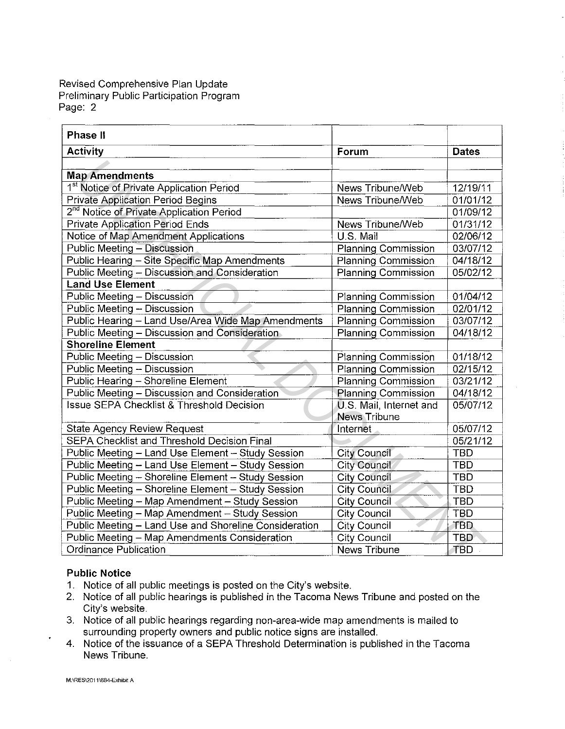Revised Comprehensive Plan Update Preliminary Public Participation Program Page: 2

| <b>Activity</b><br>Forum<br><b>Dates</b><br><b>Map Amendments</b><br>1 <sup>st</sup> Notice of Private Application Period<br>12/19/11<br>News Tribune/Web<br><b>Private Application Period Begins</b><br>News Tribune/Web<br>01/01/12<br>2 <sup>nd</sup> Notice of Private Application Period<br>01/09/12<br><b>Private Application Period Ends</b><br>News Tribune/Web<br>01/31/12<br>U.S. Mail<br>Notice of Map Amendment Applications<br>02/06/12<br>Public Meeting - Discussion<br><b>Planning Commission</b><br>03/07/12<br>Public Hearing - Site Specific Map Amendments<br>04/18/12<br><b>Planning Commission</b><br>Public Meeting - Discussion and Consideration<br><b>Planning Commission</b><br>05/02/12<br><b>Land Use Element</b><br>Public Meeting - Discussion<br><b>Planning Commission</b><br>01/04/12<br>Public Meeting - Discussion<br><b>Planning Commission</b><br>02/01/12<br>Public Hearing - Land Use/Area Wide Map Amendments<br><b>Planning Commission</b><br>03/07/12<br>Public Meeting - Discussion and Consideration<br><b>Planning Commission</b><br>04/18/12<br><b>Shoreline Element</b><br>Public Meeting - Discussion<br>01/18/12<br><b>Planning Commission</b><br>Public Meeting - Discussion<br><b>Planning Commission</b><br>02/15/12<br>Public Hearing - Shoreline Element<br><b>Planning Commission</b><br>03/21/12<br>Public Meeting - Discussion and Consideration<br><b>Planning Commission</b><br>04/18/12<br><b>Issue SEPA Checklist &amp; Threshold Decision</b><br>U.S. Mail, Internet and<br>05/07/12<br><b>News Tribune</b><br><b>State Agency Review Request</b><br>Internet<br>05/07/12<br>SEPA Checklist and Threshold Decision Final<br>05/21/12<br>Public Meeting - Land Use Element - Study Session<br><b>City Council</b><br><b>TBD</b><br>Public Meeting - Land Use Element - Study Session<br><b>City Council</b><br><b>TBD</b><br>Public Meeting - Shoreline Element - Study Session<br><b>City Council</b><br><b>TBD</b><br>Public Meeting - Shoreline Element - Study Session<br><b>City Council</b><br><b>TBD</b><br>Public Meeting - Map Amendment - Study Session<br><b>City Council</b><br>TBD<br>Public Meeting - Map Amendment - Study Session<br><b>City Council</b><br><b>TBD</b><br>Public Meeting - Land Use and Shoreline Consideration<br><b>City Council</b><br><b>TBD</b> | <b>Phase II</b>                               |                     |            |
|----------------------------------------------------------------------------------------------------------------------------------------------------------------------------------------------------------------------------------------------------------------------------------------------------------------------------------------------------------------------------------------------------------------------------------------------------------------------------------------------------------------------------------------------------------------------------------------------------------------------------------------------------------------------------------------------------------------------------------------------------------------------------------------------------------------------------------------------------------------------------------------------------------------------------------------------------------------------------------------------------------------------------------------------------------------------------------------------------------------------------------------------------------------------------------------------------------------------------------------------------------------------------------------------------------------------------------------------------------------------------------------------------------------------------------------------------------------------------------------------------------------------------------------------------------------------------------------------------------------------------------------------------------------------------------------------------------------------------------------------------------------------------------------------------------------------------------------------------------------------------------------------------------------------------------------------------------------------------------------------------------------------------------------------------------------------------------------------------------------------------------------------------------------------------------------------------------------------------------------------------------------------------------------------------------------------------------------------------|-----------------------------------------------|---------------------|------------|
|                                                                                                                                                                                                                                                                                                                                                                                                                                                                                                                                                                                                                                                                                                                                                                                                                                                                                                                                                                                                                                                                                                                                                                                                                                                                                                                                                                                                                                                                                                                                                                                                                                                                                                                                                                                                                                                                                                                                                                                                                                                                                                                                                                                                                                                                                                                                                    |                                               |                     |            |
|                                                                                                                                                                                                                                                                                                                                                                                                                                                                                                                                                                                                                                                                                                                                                                                                                                                                                                                                                                                                                                                                                                                                                                                                                                                                                                                                                                                                                                                                                                                                                                                                                                                                                                                                                                                                                                                                                                                                                                                                                                                                                                                                                                                                                                                                                                                                                    |                                               |                     |            |
|                                                                                                                                                                                                                                                                                                                                                                                                                                                                                                                                                                                                                                                                                                                                                                                                                                                                                                                                                                                                                                                                                                                                                                                                                                                                                                                                                                                                                                                                                                                                                                                                                                                                                                                                                                                                                                                                                                                                                                                                                                                                                                                                                                                                                                                                                                                                                    |                                               |                     |            |
|                                                                                                                                                                                                                                                                                                                                                                                                                                                                                                                                                                                                                                                                                                                                                                                                                                                                                                                                                                                                                                                                                                                                                                                                                                                                                                                                                                                                                                                                                                                                                                                                                                                                                                                                                                                                                                                                                                                                                                                                                                                                                                                                                                                                                                                                                                                                                    |                                               |                     |            |
|                                                                                                                                                                                                                                                                                                                                                                                                                                                                                                                                                                                                                                                                                                                                                                                                                                                                                                                                                                                                                                                                                                                                                                                                                                                                                                                                                                                                                                                                                                                                                                                                                                                                                                                                                                                                                                                                                                                                                                                                                                                                                                                                                                                                                                                                                                                                                    |                                               |                     |            |
|                                                                                                                                                                                                                                                                                                                                                                                                                                                                                                                                                                                                                                                                                                                                                                                                                                                                                                                                                                                                                                                                                                                                                                                                                                                                                                                                                                                                                                                                                                                                                                                                                                                                                                                                                                                                                                                                                                                                                                                                                                                                                                                                                                                                                                                                                                                                                    |                                               |                     |            |
|                                                                                                                                                                                                                                                                                                                                                                                                                                                                                                                                                                                                                                                                                                                                                                                                                                                                                                                                                                                                                                                                                                                                                                                                                                                                                                                                                                                                                                                                                                                                                                                                                                                                                                                                                                                                                                                                                                                                                                                                                                                                                                                                                                                                                                                                                                                                                    |                                               |                     |            |
|                                                                                                                                                                                                                                                                                                                                                                                                                                                                                                                                                                                                                                                                                                                                                                                                                                                                                                                                                                                                                                                                                                                                                                                                                                                                                                                                                                                                                                                                                                                                                                                                                                                                                                                                                                                                                                                                                                                                                                                                                                                                                                                                                                                                                                                                                                                                                    |                                               |                     |            |
|                                                                                                                                                                                                                                                                                                                                                                                                                                                                                                                                                                                                                                                                                                                                                                                                                                                                                                                                                                                                                                                                                                                                                                                                                                                                                                                                                                                                                                                                                                                                                                                                                                                                                                                                                                                                                                                                                                                                                                                                                                                                                                                                                                                                                                                                                                                                                    |                                               |                     |            |
|                                                                                                                                                                                                                                                                                                                                                                                                                                                                                                                                                                                                                                                                                                                                                                                                                                                                                                                                                                                                                                                                                                                                                                                                                                                                                                                                                                                                                                                                                                                                                                                                                                                                                                                                                                                                                                                                                                                                                                                                                                                                                                                                                                                                                                                                                                                                                    |                                               |                     |            |
|                                                                                                                                                                                                                                                                                                                                                                                                                                                                                                                                                                                                                                                                                                                                                                                                                                                                                                                                                                                                                                                                                                                                                                                                                                                                                                                                                                                                                                                                                                                                                                                                                                                                                                                                                                                                                                                                                                                                                                                                                                                                                                                                                                                                                                                                                                                                                    |                                               |                     |            |
|                                                                                                                                                                                                                                                                                                                                                                                                                                                                                                                                                                                                                                                                                                                                                                                                                                                                                                                                                                                                                                                                                                                                                                                                                                                                                                                                                                                                                                                                                                                                                                                                                                                                                                                                                                                                                                                                                                                                                                                                                                                                                                                                                                                                                                                                                                                                                    |                                               |                     |            |
|                                                                                                                                                                                                                                                                                                                                                                                                                                                                                                                                                                                                                                                                                                                                                                                                                                                                                                                                                                                                                                                                                                                                                                                                                                                                                                                                                                                                                                                                                                                                                                                                                                                                                                                                                                                                                                                                                                                                                                                                                                                                                                                                                                                                                                                                                                                                                    |                                               |                     |            |
|                                                                                                                                                                                                                                                                                                                                                                                                                                                                                                                                                                                                                                                                                                                                                                                                                                                                                                                                                                                                                                                                                                                                                                                                                                                                                                                                                                                                                                                                                                                                                                                                                                                                                                                                                                                                                                                                                                                                                                                                                                                                                                                                                                                                                                                                                                                                                    |                                               |                     |            |
|                                                                                                                                                                                                                                                                                                                                                                                                                                                                                                                                                                                                                                                                                                                                                                                                                                                                                                                                                                                                                                                                                                                                                                                                                                                                                                                                                                                                                                                                                                                                                                                                                                                                                                                                                                                                                                                                                                                                                                                                                                                                                                                                                                                                                                                                                                                                                    |                                               |                     |            |
|                                                                                                                                                                                                                                                                                                                                                                                                                                                                                                                                                                                                                                                                                                                                                                                                                                                                                                                                                                                                                                                                                                                                                                                                                                                                                                                                                                                                                                                                                                                                                                                                                                                                                                                                                                                                                                                                                                                                                                                                                                                                                                                                                                                                                                                                                                                                                    |                                               |                     |            |
|                                                                                                                                                                                                                                                                                                                                                                                                                                                                                                                                                                                                                                                                                                                                                                                                                                                                                                                                                                                                                                                                                                                                                                                                                                                                                                                                                                                                                                                                                                                                                                                                                                                                                                                                                                                                                                                                                                                                                                                                                                                                                                                                                                                                                                                                                                                                                    |                                               |                     |            |
|                                                                                                                                                                                                                                                                                                                                                                                                                                                                                                                                                                                                                                                                                                                                                                                                                                                                                                                                                                                                                                                                                                                                                                                                                                                                                                                                                                                                                                                                                                                                                                                                                                                                                                                                                                                                                                                                                                                                                                                                                                                                                                                                                                                                                                                                                                                                                    |                                               |                     |            |
|                                                                                                                                                                                                                                                                                                                                                                                                                                                                                                                                                                                                                                                                                                                                                                                                                                                                                                                                                                                                                                                                                                                                                                                                                                                                                                                                                                                                                                                                                                                                                                                                                                                                                                                                                                                                                                                                                                                                                                                                                                                                                                                                                                                                                                                                                                                                                    |                                               |                     |            |
|                                                                                                                                                                                                                                                                                                                                                                                                                                                                                                                                                                                                                                                                                                                                                                                                                                                                                                                                                                                                                                                                                                                                                                                                                                                                                                                                                                                                                                                                                                                                                                                                                                                                                                                                                                                                                                                                                                                                                                                                                                                                                                                                                                                                                                                                                                                                                    |                                               |                     |            |
|                                                                                                                                                                                                                                                                                                                                                                                                                                                                                                                                                                                                                                                                                                                                                                                                                                                                                                                                                                                                                                                                                                                                                                                                                                                                                                                                                                                                                                                                                                                                                                                                                                                                                                                                                                                                                                                                                                                                                                                                                                                                                                                                                                                                                                                                                                                                                    |                                               |                     |            |
|                                                                                                                                                                                                                                                                                                                                                                                                                                                                                                                                                                                                                                                                                                                                                                                                                                                                                                                                                                                                                                                                                                                                                                                                                                                                                                                                                                                                                                                                                                                                                                                                                                                                                                                                                                                                                                                                                                                                                                                                                                                                                                                                                                                                                                                                                                                                                    |                                               |                     |            |
|                                                                                                                                                                                                                                                                                                                                                                                                                                                                                                                                                                                                                                                                                                                                                                                                                                                                                                                                                                                                                                                                                                                                                                                                                                                                                                                                                                                                                                                                                                                                                                                                                                                                                                                                                                                                                                                                                                                                                                                                                                                                                                                                                                                                                                                                                                                                                    |                                               |                     |            |
|                                                                                                                                                                                                                                                                                                                                                                                                                                                                                                                                                                                                                                                                                                                                                                                                                                                                                                                                                                                                                                                                                                                                                                                                                                                                                                                                                                                                                                                                                                                                                                                                                                                                                                                                                                                                                                                                                                                                                                                                                                                                                                                                                                                                                                                                                                                                                    |                                               |                     |            |
|                                                                                                                                                                                                                                                                                                                                                                                                                                                                                                                                                                                                                                                                                                                                                                                                                                                                                                                                                                                                                                                                                                                                                                                                                                                                                                                                                                                                                                                                                                                                                                                                                                                                                                                                                                                                                                                                                                                                                                                                                                                                                                                                                                                                                                                                                                                                                    |                                               |                     |            |
|                                                                                                                                                                                                                                                                                                                                                                                                                                                                                                                                                                                                                                                                                                                                                                                                                                                                                                                                                                                                                                                                                                                                                                                                                                                                                                                                                                                                                                                                                                                                                                                                                                                                                                                                                                                                                                                                                                                                                                                                                                                                                                                                                                                                                                                                                                                                                    |                                               |                     |            |
|                                                                                                                                                                                                                                                                                                                                                                                                                                                                                                                                                                                                                                                                                                                                                                                                                                                                                                                                                                                                                                                                                                                                                                                                                                                                                                                                                                                                                                                                                                                                                                                                                                                                                                                                                                                                                                                                                                                                                                                                                                                                                                                                                                                                                                                                                                                                                    |                                               |                     |            |
|                                                                                                                                                                                                                                                                                                                                                                                                                                                                                                                                                                                                                                                                                                                                                                                                                                                                                                                                                                                                                                                                                                                                                                                                                                                                                                                                                                                                                                                                                                                                                                                                                                                                                                                                                                                                                                                                                                                                                                                                                                                                                                                                                                                                                                                                                                                                                    |                                               |                     |            |
|                                                                                                                                                                                                                                                                                                                                                                                                                                                                                                                                                                                                                                                                                                                                                                                                                                                                                                                                                                                                                                                                                                                                                                                                                                                                                                                                                                                                                                                                                                                                                                                                                                                                                                                                                                                                                                                                                                                                                                                                                                                                                                                                                                                                                                                                                                                                                    |                                               |                     |            |
|                                                                                                                                                                                                                                                                                                                                                                                                                                                                                                                                                                                                                                                                                                                                                                                                                                                                                                                                                                                                                                                                                                                                                                                                                                                                                                                                                                                                                                                                                                                                                                                                                                                                                                                                                                                                                                                                                                                                                                                                                                                                                                                                                                                                                                                                                                                                                    |                                               |                     |            |
|                                                                                                                                                                                                                                                                                                                                                                                                                                                                                                                                                                                                                                                                                                                                                                                                                                                                                                                                                                                                                                                                                                                                                                                                                                                                                                                                                                                                                                                                                                                                                                                                                                                                                                                                                                                                                                                                                                                                                                                                                                                                                                                                                                                                                                                                                                                                                    |                                               |                     |            |
|                                                                                                                                                                                                                                                                                                                                                                                                                                                                                                                                                                                                                                                                                                                                                                                                                                                                                                                                                                                                                                                                                                                                                                                                                                                                                                                                                                                                                                                                                                                                                                                                                                                                                                                                                                                                                                                                                                                                                                                                                                                                                                                                                                                                                                                                                                                                                    |                                               |                     |            |
|                                                                                                                                                                                                                                                                                                                                                                                                                                                                                                                                                                                                                                                                                                                                                                                                                                                                                                                                                                                                                                                                                                                                                                                                                                                                                                                                                                                                                                                                                                                                                                                                                                                                                                                                                                                                                                                                                                                                                                                                                                                                                                                                                                                                                                                                                                                                                    | Public Meeting - Map Amendments Consideration | <b>City Council</b> | <b>TBD</b> |
| Ordinance Publication<br><b>News Tribune</b><br>TBD.                                                                                                                                                                                                                                                                                                                                                                                                                                                                                                                                                                                                                                                                                                                                                                                                                                                                                                                                                                                                                                                                                                                                                                                                                                                                                                                                                                                                                                                                                                                                                                                                                                                                                                                                                                                                                                                                                                                                                                                                                                                                                                                                                                                                                                                                                               |                                               |                     |            |

## **Public Notice**

- 1. Notice of all public meetings is posted on the City's website.
- 2. Notice of all public hearings is published in the Tacoma News Tribune and posted on the City's website.
- 3. Notice of all public hearings regarding non-area-wide map amendments is mailed to surrounding property owners and public notice signs are installed.
- 4. Notice of the issuance of a SEPA Threshold Determination is published in the Tacoma News Tribune.

ł